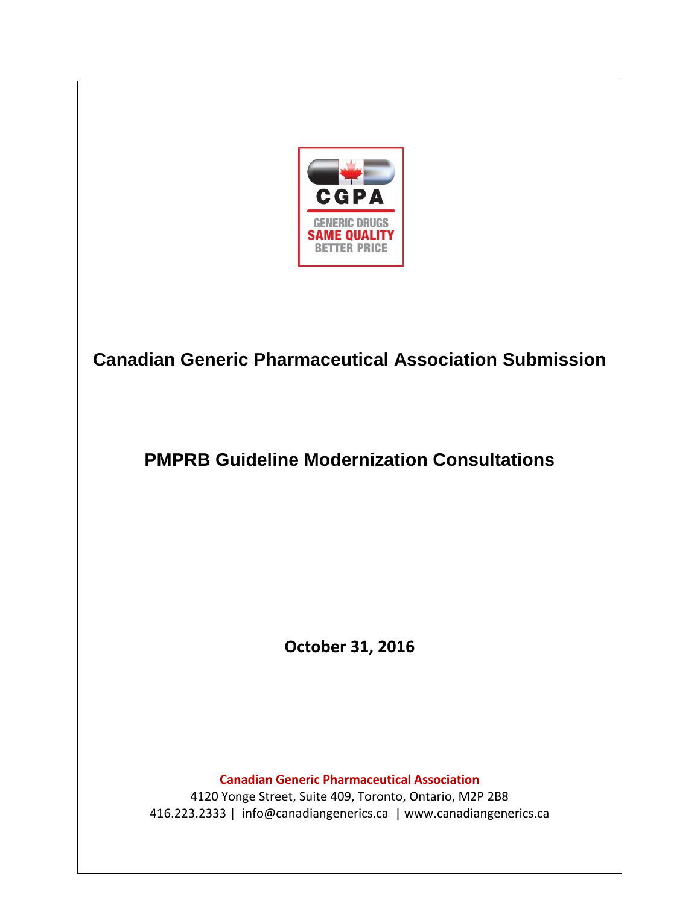

# **Canadian Generic Pharmaceutical Association Submission**

## **PMPRB Guideline Modernization Consultations**

**October 31, 2016**

**Canadian Generic Pharmaceutical Association**

4120 Yonge Street, Suite 409, Toronto, Ontario, M2P 2B8 416.223.2333 | info@canadiangenerics.ca | www.canadiangenerics.ca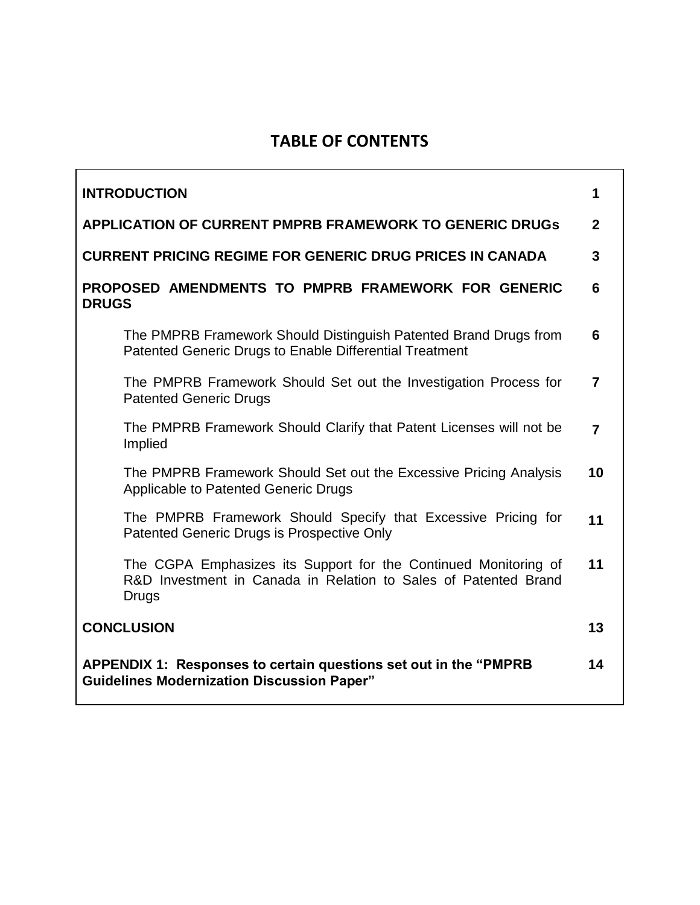## **TABLE OF CONTENTS**

| <b>INTRODUCTION</b>                                                                                                                                | 1              |
|----------------------------------------------------------------------------------------------------------------------------------------------------|----------------|
| <b>APPLICATION OF CURRENT PMPRB FRAMEWORK TO GENERIC DRUGS</b>                                                                                     | $\mathbf{2}$   |
| <b>CURRENT PRICING REGIME FOR GENERIC DRUG PRICES IN CANADA</b>                                                                                    | 3              |
| PROPOSED AMENDMENTS TO PMPRB FRAMEWORK FOR GENERIC<br><b>DRUGS</b>                                                                                 | 6              |
| The PMPRB Framework Should Distinguish Patented Brand Drugs from<br>Patented Generic Drugs to Enable Differential Treatment                        | 6              |
| The PMPRB Framework Should Set out the Investigation Process for<br><b>Patented Generic Drugs</b>                                                  | 7              |
| The PMPRB Framework Should Clarify that Patent Licenses will not be<br>Implied                                                                     | $\overline{7}$ |
| The PMPRB Framework Should Set out the Excessive Pricing Analysis<br>Applicable to Patented Generic Drugs                                          | 10             |
| The PMPRB Framework Should Specify that Excessive Pricing for<br>Patented Generic Drugs is Prospective Only                                        | 11             |
| The CGPA Emphasizes its Support for the Continued Monitoring of<br>R&D Investment in Canada in Relation to Sales of Patented Brand<br><b>Drugs</b> | 11             |
| <b>CONCLUSION</b>                                                                                                                                  | 13             |
| APPENDIX 1: Responses to certain questions set out in the "PMPRB"<br><b>Guidelines Modernization Discussion Paper"</b>                             | 14             |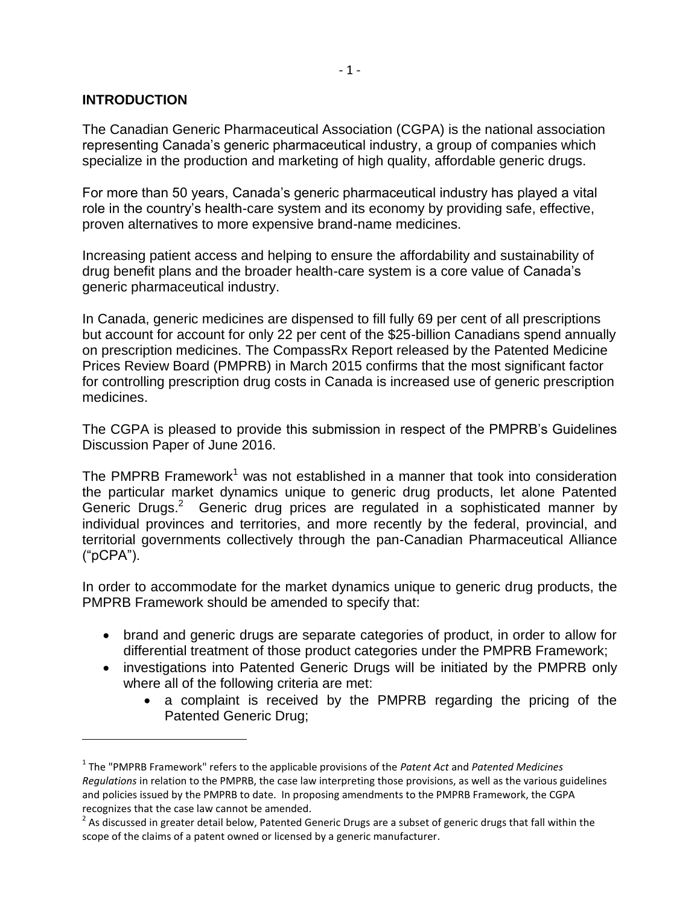## **INTRODUCTION**

 $\overline{a}$ 

The Canadian Generic Pharmaceutical Association (CGPA) is the national association representing Canada's generic pharmaceutical industry, a group of companies which specialize in the production and marketing of high quality, affordable generic drugs.

For more than 50 years, Canada's generic pharmaceutical industry has played a vital role in the country's health-care system and its economy by providing safe, effective, proven alternatives to more expensive brand-name medicines.

Increasing patient access and helping to ensure the affordability and sustainability of drug benefit plans and the broader health-care system is a core value of Canada's generic pharmaceutical industry.

In Canada, generic medicines are dispensed to fill fully 69 per cent of all prescriptions but account for account for only 22 per cent of the \$25-billion Canadians spend annually on prescription medicines. The CompassRx Report released by the Patented Medicine Prices Review Board (PMPRB) in March 2015 confirms that the most significant factor for controlling prescription drug costs in Canada is increased use of generic prescription medicines.

The CGPA is pleased to provide this submission in respect of the PMPRB's Guidelines Discussion Paper of June 2016.

The PMPRB Framework<sup>1</sup> was not established in a manner that took into consideration the particular market dynamics unique to generic drug products, let alone Patented Generic Drugs.<sup>2</sup> Generic drug prices are regulated in a sophisticated manner by individual provinces and territories, and more recently by the federal, provincial, and territorial governments collectively through the pan-Canadian Pharmaceutical Alliance ("pCPA").

In order to accommodate for the market dynamics unique to generic drug products, the PMPRB Framework should be amended to specify that:

- brand and generic drugs are separate categories of product, in order to allow for differential treatment of those product categories under the PMPRB Framework;
- investigations into Patented Generic Drugs will be initiated by the PMPRB only where all of the following criteria are met:
	- a complaint is received by the PMPRB regarding the pricing of the Patented Generic Drug;

<sup>1</sup> The "PMPRB Framework" refers to the applicable provisions of the *Patent Act* and *Patented Medicines Regulations* in relation to the PMPRB, the case law interpreting those provisions, as well as the various guidelines and policies issued by the PMPRB to date. In proposing amendments to the PMPRB Framework, the CGPA recognizes that the case law cannot be amended.

 $^2$  As discussed in greater detail below, Patented Generic Drugs are a subset of generic drugs that fall within the scope of the claims of a patent owned or licensed by a generic manufacturer.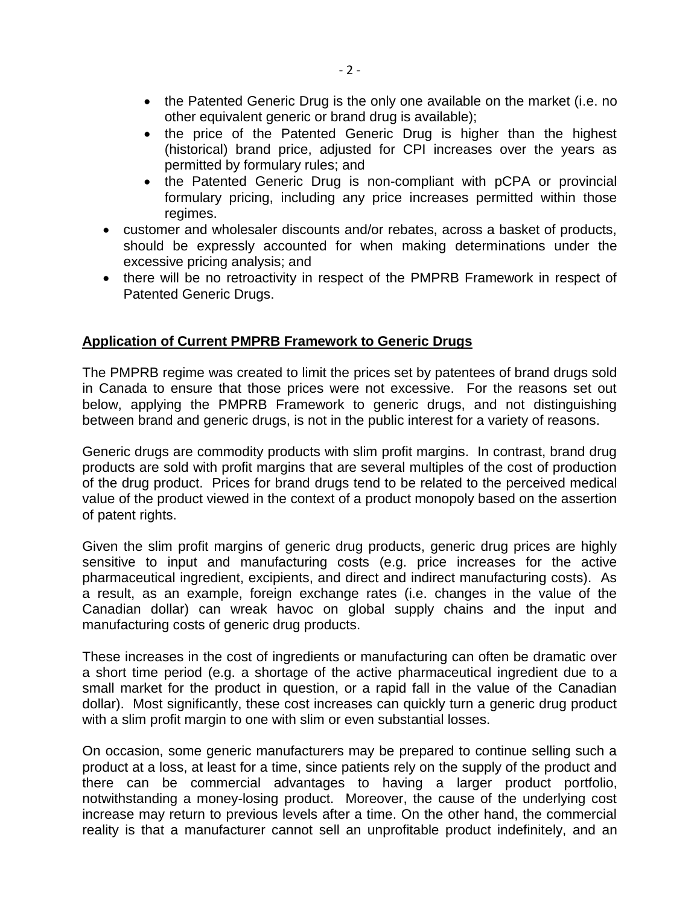- the Patented Generic Drug is the only one available on the market (i.e. no other equivalent generic or brand drug is available);
- the price of the Patented Generic Drug is higher than the highest (historical) brand price, adjusted for CPI increases over the years as permitted by formulary rules; and
- the Patented Generic Drug is non-compliant with pCPA or provincial formulary pricing, including any price increases permitted within those regimes.
- customer and wholesaler discounts and/or rebates, across a basket of products, should be expressly accounted for when making determinations under the excessive pricing analysis; and
- there will be no retroactivity in respect of the PMPRB Framework in respect of Patented Generic Drugs.

## **Application of Current PMPRB Framework to Generic Drugs**

The PMPRB regime was created to limit the prices set by patentees of brand drugs sold in Canada to ensure that those prices were not excessive. For the reasons set out below, applying the PMPRB Framework to generic drugs, and not distinguishing between brand and generic drugs, is not in the public interest for a variety of reasons.

Generic drugs are commodity products with slim profit margins. In contrast, brand drug products are sold with profit margins that are several multiples of the cost of production of the drug product. Prices for brand drugs tend to be related to the perceived medical value of the product viewed in the context of a product monopoly based on the assertion of patent rights.

Given the slim profit margins of generic drug products, generic drug prices are highly sensitive to input and manufacturing costs (e.g. price increases for the active pharmaceutical ingredient, excipients, and direct and indirect manufacturing costs). As a result, as an example, foreign exchange rates (i.e. changes in the value of the Canadian dollar) can wreak havoc on global supply chains and the input and manufacturing costs of generic drug products.

These increases in the cost of ingredients or manufacturing can often be dramatic over a short time period (e.g. a shortage of the active pharmaceutical ingredient due to a small market for the product in question, or a rapid fall in the value of the Canadian dollar). Most significantly, these cost increases can quickly turn a generic drug product with a slim profit margin to one with slim or even substantial losses.

On occasion, some generic manufacturers may be prepared to continue selling such a product at a loss, at least for a time, since patients rely on the supply of the product and there can be commercial advantages to having a larger product portfolio, notwithstanding a money-losing product. Moreover, the cause of the underlying cost increase may return to previous levels after a time. On the other hand, the commercial reality is that a manufacturer cannot sell an unprofitable product indefinitely, and an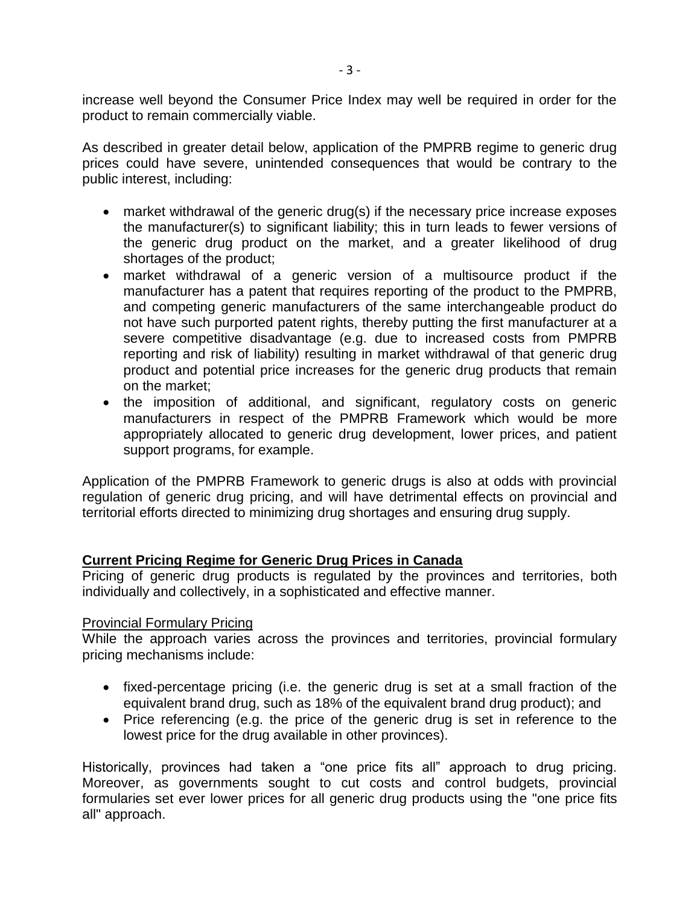increase well beyond the Consumer Price Index may well be required in order for the product to remain commercially viable.

As described in greater detail below, application of the PMPRB regime to generic drug prices could have severe, unintended consequences that would be contrary to the public interest, including:

- market withdrawal of the generic drug(s) if the necessary price increase exposes the manufacturer(s) to significant liability; this in turn leads to fewer versions of the generic drug product on the market, and a greater likelihood of drug shortages of the product;
- market withdrawal of a generic version of a multisource product if the manufacturer has a patent that requires reporting of the product to the PMPRB, and competing generic manufacturers of the same interchangeable product do not have such purported patent rights, thereby putting the first manufacturer at a severe competitive disadvantage (e.g. due to increased costs from PMPRB reporting and risk of liability) resulting in market withdrawal of that generic drug product and potential price increases for the generic drug products that remain on the market;
- the imposition of additional, and significant, regulatory costs on generic manufacturers in respect of the PMPRB Framework which would be more appropriately allocated to generic drug development, lower prices, and patient support programs, for example.

Application of the PMPRB Framework to generic drugs is also at odds with provincial regulation of generic drug pricing, and will have detrimental effects on provincial and territorial efforts directed to minimizing drug shortages and ensuring drug supply.

## **Current Pricing Regime for Generic Drug Prices in Canada**

Pricing of generic drug products is regulated by the provinces and territories, both individually and collectively, in a sophisticated and effective manner.

#### Provincial Formulary Pricing

While the approach varies across the provinces and territories, provincial formulary pricing mechanisms include:

- fixed-percentage pricing (i.e. the generic drug is set at a small fraction of the equivalent brand drug, such as 18% of the equivalent brand drug product); and
- Price referencing (e.g. the price of the generic drug is set in reference to the lowest price for the drug available in other provinces).

Historically, provinces had taken a "one price fits all" approach to drug pricing. Moreover, as governments sought to cut costs and control budgets, provincial formularies set ever lower prices for all generic drug products using the "one price fits all" approach.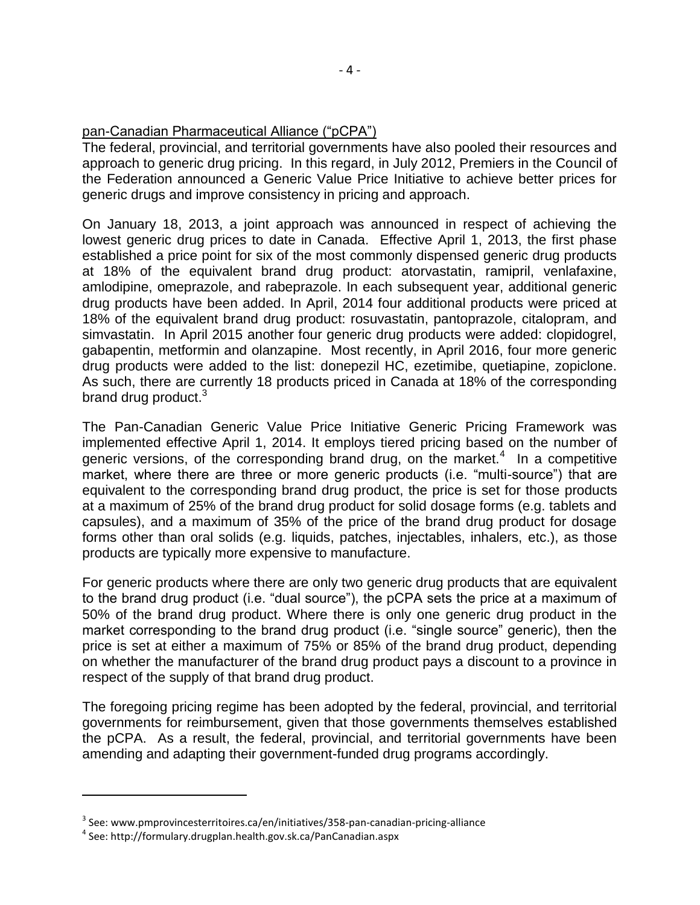## pan-Canadian Pharmaceutical Alliance ("pCPA")

The federal, provincial, and territorial governments have also pooled their resources and approach to generic drug pricing. In this regard, in July 2012, Premiers in the Council of the Federation announced a Generic Value Price Initiative to achieve better prices for generic drugs and improve consistency in pricing and approach.

On January 18, 2013, a joint approach was announced in respect of achieving the lowest generic drug prices to date in Canada. Effective April 1, 2013, the first phase established a price point for six of the most commonly dispensed generic drug products at 18% of the equivalent brand drug product: atorvastatin, ramipril, venlafaxine, amlodipine, omeprazole, and rabeprazole. In each subsequent year, additional generic drug products have been added. In April, 2014 four additional products were priced at 18% of the equivalent brand drug product: rosuvastatin, pantoprazole, citalopram, and simvastatin. In April 2015 another four generic drug products were added: clopidogrel, gabapentin, metformin and olanzapine. Most recently, in April 2016, four more generic drug products were added to the list: donepezil HC, ezetimibe, quetiapine, zopiclone. As such, there are currently 18 products priced in Canada at 18% of the corresponding brand drug product.<sup>3</sup>

The Pan-Canadian Generic Value Price Initiative Generic Pricing Framework was implemented effective April 1, 2014. It employs tiered pricing based on the number of generic versions, of the corresponding brand drug, on the market.<sup>4</sup> In a competitive market, where there are three or more generic products (i.e. "multi-source") that are equivalent to the corresponding brand drug product, the price is set for those products at a maximum of 25% of the brand drug product for solid dosage forms (e.g. tablets and capsules), and a maximum of 35% of the price of the brand drug product for dosage forms other than oral solids (e.g. liquids, patches, injectables, inhalers, etc.), as those products are typically more expensive to manufacture.

For generic products where there are only two generic drug products that are equivalent to the brand drug product (i.e. "dual source"), the pCPA sets the price at a maximum of 50% of the brand drug product. Where there is only one generic drug product in the market corresponding to the brand drug product (i.e. "single source" generic), then the price is set at either a maximum of 75% or 85% of the brand drug product, depending on whether the manufacturer of the brand drug product pays a discount to a province in respect of the supply of that brand drug product.

The foregoing pricing regime has been adopted by the federal, provincial, and territorial governments for reimbursement, given that those governments themselves established the pCPA. As a result, the federal, provincial, and territorial governments have been amending and adapting their government-funded drug programs accordingly.

 $\overline{a}$ 

 $^3$  See: www.pmprovincesterritoires.ca/en/initiatives/358-pan-canadian-pricing-alliance

<sup>4</sup> See: http://formulary.drugplan.health.gov.sk.ca/PanCanadian.aspx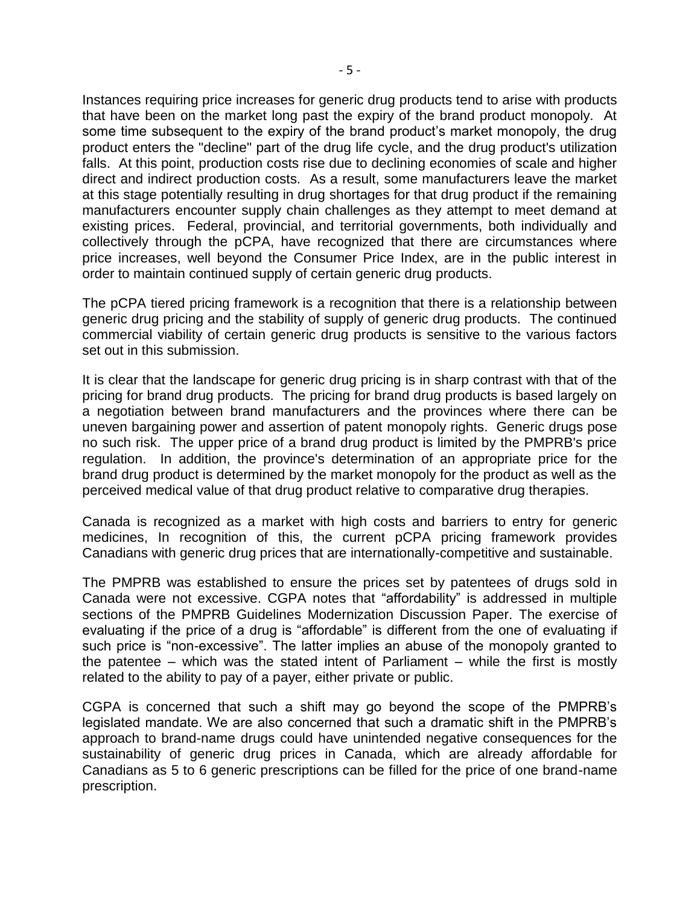Instances requiring price increases for generic drug products tend to arise with products that have been on the market long past the expiry of the brand product monopoly. At some time subsequent to the expiry of the brand product's market monopoly, the drug product enters the "decline" part of the drug life cycle, and the drug product's utilization falls. At this point, production costs rise due to declining economies of scale and higher direct and indirect production costs. As a result, some manufacturers leave the market at this stage potentially resulting in drug shortages for that drug product if the remaining manufacturers encounter supply chain challenges as they attempt to meet demand at existing prices. Federal, provincial, and territorial governments, both individually and collectively through the pCPA, have recognized that there are circumstances where price increases, well beyond the Consumer Price Index, are in the public interest in order to maintain continued supply of certain generic drug products.

The pCPA tiered pricing framework is a recognition that there is a relationship between generic drug pricing and the stability of supply of generic drug products. The continued commercial viability of certain generic drug products is sensitive to the various factors set out in this submission.

It is clear that the landscape for generic drug pricing is in sharp contrast with that of the pricing for brand drug products. The pricing for brand drug products is based largely on a negotiation between brand manufacturers and the provinces where there can be uneven bargaining power and assertion of patent monopoly rights. Generic drugs pose no such risk. The upper price of a brand drug product is limited by the PMPRB's price regulation. In addition, the province's determination of an appropriate price for the brand drug product is determined by the market monopoly for the product as well as the perceived medical value of that drug product relative to comparative drug therapies.

Canada is recognized as a market with high costs and barriers to entry for generic medicines, In recognition of this, the current pCPA pricing framework provides Canadians with generic drug prices that are internationally-competitive and sustainable.

The PMPRB was established to ensure the prices set by patentees of drugs sold in Canada were not excessive. CGPA notes that "affordability" is addressed in multiple sections of the PMPRB Guidelines Modernization Discussion Paper. The exercise of evaluating if the price of a drug is "affordable" is different from the one of evaluating if such price is "non-excessive". The latter implies an abuse of the monopoly granted to the patentee – which was the stated intent of Parliament – while the first is mostly related to the ability to pay of a payer, either private or public.

CGPA is concerned that such a shift may go beyond the scope of the PMPRB's legislated mandate. We are also concerned that such a dramatic shift in the PMPRB's approach to brand-name drugs could have unintended negative consequences for the sustainability of generic drug prices in Canada, which are already affordable for Canadians as 5 to 6 generic prescriptions can be filled for the price of one brand-name prescription.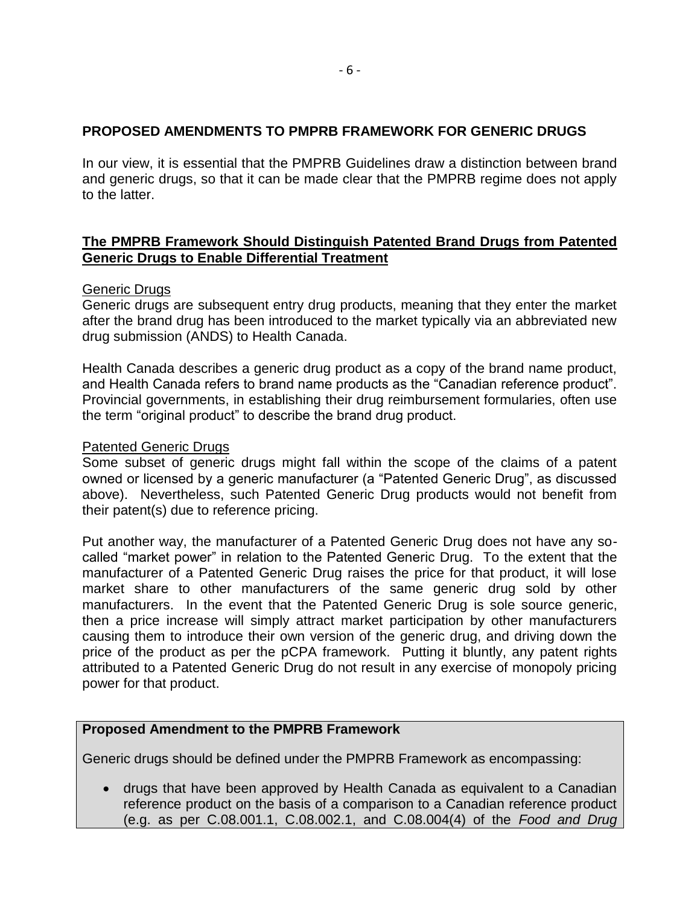## **PROPOSED AMENDMENTS TO PMPRB FRAMEWORK FOR GENERIC DRUGS**

In our view, it is essential that the PMPRB Guidelines draw a distinction between brand and generic drugs, so that it can be made clear that the PMPRB regime does not apply to the latter.

## **The PMPRB Framework Should Distinguish Patented Brand Drugs from Patented Generic Drugs to Enable Differential Treatment**

#### Generic Drugs

Generic drugs are subsequent entry drug products, meaning that they enter the market after the brand drug has been introduced to the market typically via an abbreviated new drug submission (ANDS) to Health Canada.

Health Canada describes a generic drug product as a copy of the brand name product, and Health Canada refers to brand name products as the "Canadian reference product". Provincial governments, in establishing their drug reimbursement formularies, often use the term "original product" to describe the brand drug product.

#### Patented Generic Drugs

Some subset of generic drugs might fall within the scope of the claims of a patent owned or licensed by a generic manufacturer (a "Patented Generic Drug", as discussed above). Nevertheless, such Patented Generic Drug products would not benefit from their patent(s) due to reference pricing.

Put another way, the manufacturer of a Patented Generic Drug does not have any socalled "market power" in relation to the Patented Generic Drug. To the extent that the manufacturer of a Patented Generic Drug raises the price for that product, it will lose market share to other manufacturers of the same generic drug sold by other manufacturers. In the event that the Patented Generic Drug is sole source generic, then a price increase will simply attract market participation by other manufacturers causing them to introduce their own version of the generic drug, and driving down the price of the product as per the pCPA framework. Putting it bluntly, any patent rights attributed to a Patented Generic Drug do not result in any exercise of monopoly pricing power for that product.

## **Proposed Amendment to the PMPRB Framework**

Generic drugs should be defined under the PMPRB Framework as encompassing:

 drugs that have been approved by Health Canada as equivalent to a Canadian reference product on the basis of a comparison to a Canadian reference product (e.g. as per C.08.001.1, C.08.002.1, and C.08.004(4) of the *Food and Drug*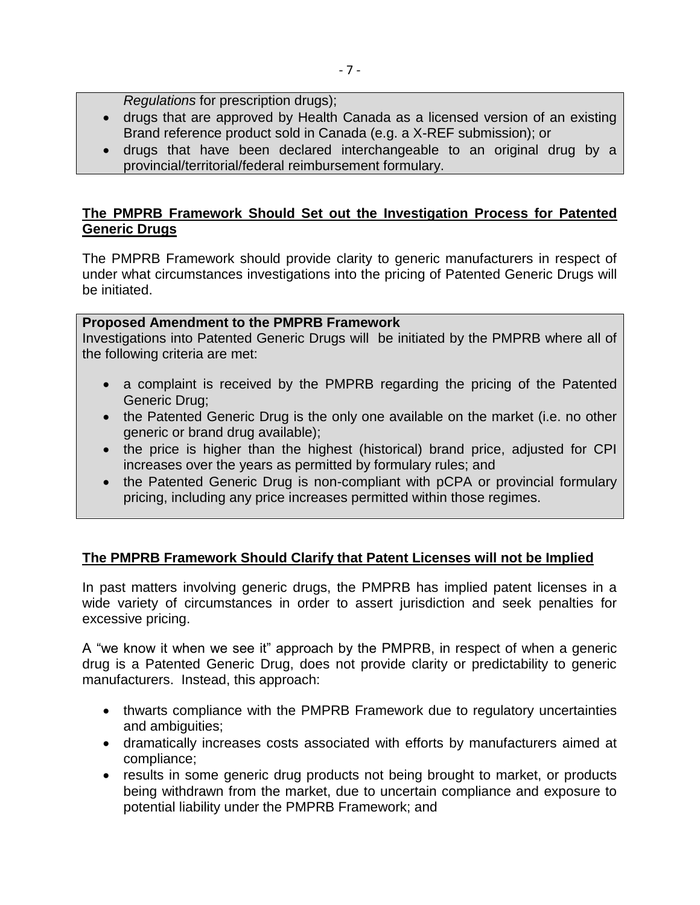*Regulations* for prescription drugs);

- drugs that are approved by Health Canada as a licensed version of an existing Brand reference product sold in Canada (e.g. a X-REF submission); or
- drugs that have been declared interchangeable to an original drug by a provincial/territorial/federal reimbursement formulary.

## **The PMPRB Framework Should Set out the Investigation Process for Patented Generic Drugs**

The PMPRB Framework should provide clarity to generic manufacturers in respect of under what circumstances investigations into the pricing of Patented Generic Drugs will be initiated.

## **Proposed Amendment to the PMPRB Framework**

Investigations into Patented Generic Drugs will be initiated by the PMPRB where all of the following criteria are met:

- a complaint is received by the PMPRB regarding the pricing of the Patented Generic Drug;
- the Patented Generic Drug is the only one available on the market (i.e. no other generic or brand drug available);
- the price is higher than the highest (historical) brand price, adjusted for CPI increases over the years as permitted by formulary rules; and
- the Patented Generic Drug is non-compliant with pCPA or provincial formulary pricing, including any price increases permitted within those regimes.

## **The PMPRB Framework Should Clarify that Patent Licenses will not be Implied**

In past matters involving generic drugs, the PMPRB has implied patent licenses in a wide variety of circumstances in order to assert jurisdiction and seek penalties for excessive pricing.

A "we know it when we see it" approach by the PMPRB, in respect of when a generic drug is a Patented Generic Drug, does not provide clarity or predictability to generic manufacturers. Instead, this approach:

- thwarts compliance with the PMPRB Framework due to regulatory uncertainties and ambiguities;
- dramatically increases costs associated with efforts by manufacturers aimed at compliance;
- results in some generic drug products not being brought to market, or products being withdrawn from the market, due to uncertain compliance and exposure to potential liability under the PMPRB Framework; and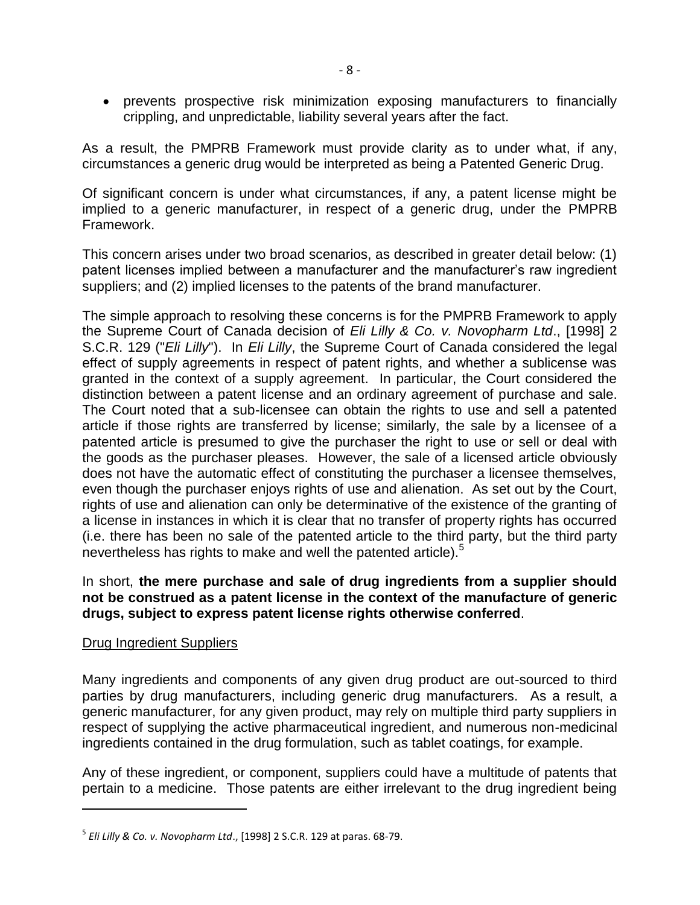prevents prospective risk minimization exposing manufacturers to financially crippling, and unpredictable, liability several years after the fact.

As a result, the PMPRB Framework must provide clarity as to under what, if any, circumstances a generic drug would be interpreted as being a Patented Generic Drug.

Of significant concern is under what circumstances, if any, a patent license might be implied to a generic manufacturer, in respect of a generic drug, under the PMPRB Framework.

This concern arises under two broad scenarios, as described in greater detail below: (1) patent licenses implied between a manufacturer and the manufacturer's raw ingredient suppliers; and (2) implied licenses to the patents of the brand manufacturer.

The simple approach to resolving these concerns is for the PMPRB Framework to apply the Supreme Court of Canada decision of *Eli Lilly & Co. v. Novopharm Ltd*., [1998] 2 S.C.R. 129 ("*Eli Lilly*"). In *Eli Lilly*, the Supreme Court of Canada considered the legal effect of supply agreements in respect of patent rights, and whether a sublicense was granted in the context of a supply agreement. In particular, the Court considered the distinction between a patent license and an ordinary agreement of purchase and sale. The Court noted that a sub-licensee can obtain the rights to use and sell a patented article if those rights are transferred by license; similarly, the sale by a licensee of a patented article is presumed to give the purchaser the right to use or sell or deal with the goods as the purchaser pleases. However, the sale of a licensed article obviously does not have the automatic effect of constituting the purchaser a licensee themselves, even though the purchaser enjoys rights of use and alienation. As set out by the Court, rights of use and alienation can only be determinative of the existence of the granting of a license in instances in which it is clear that no transfer of property rights has occurred (i.e. there has been no sale of the patented article to the third party, but the third party nevertheless has rights to make and well the patented article).<sup>5</sup>

## In short, **the mere purchase and sale of drug ingredients from a supplier should not be construed as a patent license in the context of the manufacture of generic drugs, subject to express patent license rights otherwise conferred**.

## Drug Ingredient Suppliers

 $\overline{a}$ 

Many ingredients and components of any given drug product are out-sourced to third parties by drug manufacturers, including generic drug manufacturers. As a result, a generic manufacturer, for any given product, may rely on multiple third party suppliers in respect of supplying the active pharmaceutical ingredient, and numerous non-medicinal ingredients contained in the drug formulation, such as tablet coatings, for example.

Any of these ingredient, or component, suppliers could have a multitude of patents that pertain to a medicine. Those patents are either irrelevant to the drug ingredient being

<sup>5</sup> *Eli Lilly & Co. v. Novopharm Ltd*., [1998] 2 S.C.R. 129 at paras. 68-79.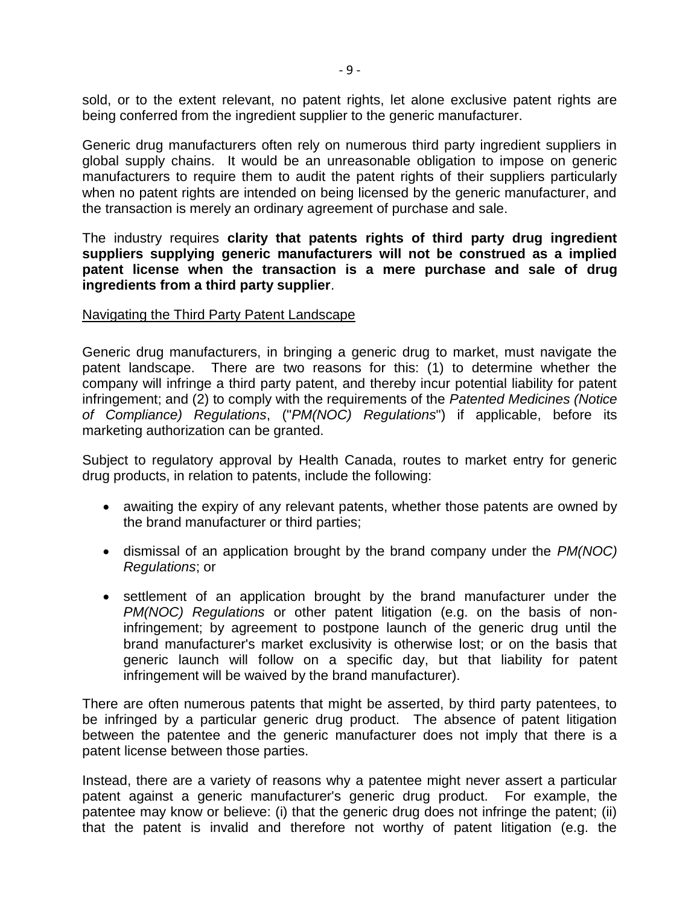sold, or to the extent relevant, no patent rights, let alone exclusive patent rights are being conferred from the ingredient supplier to the generic manufacturer.

Generic drug manufacturers often rely on numerous third party ingredient suppliers in global supply chains. It would be an unreasonable obligation to impose on generic manufacturers to require them to audit the patent rights of their suppliers particularly when no patent rights are intended on being licensed by the generic manufacturer, and the transaction is merely an ordinary agreement of purchase and sale.

The industry requires **clarity that patents rights of third party drug ingredient suppliers supplying generic manufacturers will not be construed as a implied patent license when the transaction is a mere purchase and sale of drug ingredients from a third party supplier**.

#### Navigating the Third Party Patent Landscape

Generic drug manufacturers, in bringing a generic drug to market, must navigate the patent landscape. There are two reasons for this: (1) to determine whether the company will infringe a third party patent, and thereby incur potential liability for patent infringement; and (2) to comply with the requirements of the *Patented Medicines (Notice of Compliance) Regulations*, ("*PM(NOC) Regulations*") if applicable, before its marketing authorization can be granted.

Subject to regulatory approval by Health Canada, routes to market entry for generic drug products, in relation to patents, include the following:

- awaiting the expiry of any relevant patents, whether those patents are owned by the brand manufacturer or third parties;
- dismissal of an application brought by the brand company under the *PM(NOC) Regulations*; or
- settlement of an application brought by the brand manufacturer under the *PM(NOC) Regulations* or other patent litigation (e.g. on the basis of noninfringement; by agreement to postpone launch of the generic drug until the brand manufacturer's market exclusivity is otherwise lost; or on the basis that generic launch will follow on a specific day, but that liability for patent infringement will be waived by the brand manufacturer).

There are often numerous patents that might be asserted, by third party patentees, to be infringed by a particular generic drug product. The absence of patent litigation between the patentee and the generic manufacturer does not imply that there is a patent license between those parties.

Instead, there are a variety of reasons why a patentee might never assert a particular patent against a generic manufacturer's generic drug product. For example, the patentee may know or believe: (i) that the generic drug does not infringe the patent; (ii) that the patent is invalid and therefore not worthy of patent litigation (e.g. the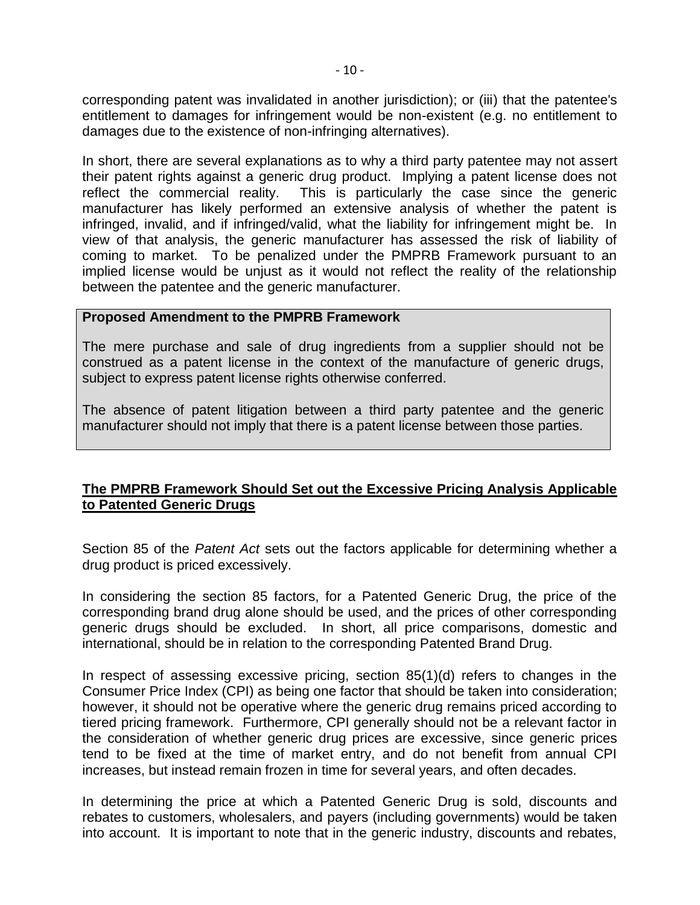corresponding patent was invalidated in another jurisdiction); or (iii) that the patentee's entitlement to damages for infringement would be non-existent (e.g. no entitlement to damages due to the existence of non-infringing alternatives).

In short, there are several explanations as to why a third party patentee may not assert their patent rights against a generic drug product. Implying a patent license does not reflect the commercial reality. This is particularly the case since the generic manufacturer has likely performed an extensive analysis of whether the patent is infringed, invalid, and if infringed/valid, what the liability for infringement might be. In view of that analysis, the generic manufacturer has assessed the risk of liability of coming to market. To be penalized under the PMPRB Framework pursuant to an implied license would be unjust as it would not reflect the reality of the relationship between the patentee and the generic manufacturer.

#### **Proposed Amendment to the PMPRB Framework**

The mere purchase and sale of drug ingredients from a supplier should not be construed as a patent license in the context of the manufacture of generic drugs, subject to express patent license rights otherwise conferred.

The absence of patent litigation between a third party patentee and the generic manufacturer should not imply that there is a patent license between those parties.

## **The PMPRB Framework Should Set out the Excessive Pricing Analysis Applicable to Patented Generic Drugs**

Section 85 of the *Patent Act* sets out the factors applicable for determining whether a drug product is priced excessively.

In considering the section 85 factors, for a Patented Generic Drug, the price of the corresponding brand drug alone should be used, and the prices of other corresponding generic drugs should be excluded. In short, all price comparisons, domestic and international, should be in relation to the corresponding Patented Brand Drug.

In respect of assessing excessive pricing, section 85(1)(d) refers to changes in the Consumer Price Index (CPI) as being one factor that should be taken into consideration; however, it should not be operative where the generic drug remains priced according to tiered pricing framework. Furthermore, CPI generally should not be a relevant factor in the consideration of whether generic drug prices are excessive, since generic prices tend to be fixed at the time of market entry, and do not benefit from annual CPI increases, but instead remain frozen in time for several years, and often decades.

In determining the price at which a Patented Generic Drug is sold, discounts and rebates to customers, wholesalers, and payers (including governments) would be taken into account. It is important to note that in the generic industry, discounts and rebates,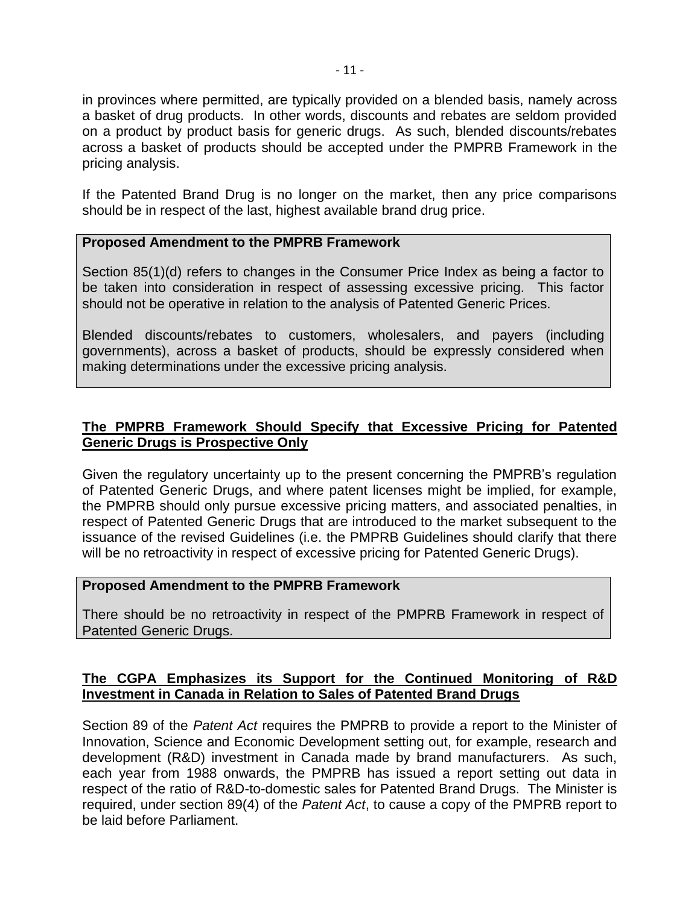in provinces where permitted, are typically provided on a blended basis, namely across a basket of drug products. In other words, discounts and rebates are seldom provided on a product by product basis for generic drugs. As such, blended discounts/rebates across a basket of products should be accepted under the PMPRB Framework in the pricing analysis.

If the Patented Brand Drug is no longer on the market, then any price comparisons should be in respect of the last, highest available brand drug price.

#### **Proposed Amendment to the PMPRB Framework**

Section 85(1)(d) refers to changes in the Consumer Price Index as being a factor to be taken into consideration in respect of assessing excessive pricing. This factor should not be operative in relation to the analysis of Patented Generic Prices.

Blended discounts/rebates to customers, wholesalers, and payers (including governments), across a basket of products, should be expressly considered when making determinations under the excessive pricing analysis.

## **The PMPRB Framework Should Specify that Excessive Pricing for Patented Generic Drugs is Prospective Only**

Given the regulatory uncertainty up to the present concerning the PMPRB's regulation of Patented Generic Drugs, and where patent licenses might be implied, for example, the PMPRB should only pursue excessive pricing matters, and associated penalties, in respect of Patented Generic Drugs that are introduced to the market subsequent to the issuance of the revised Guidelines (i.e. the PMPRB Guidelines should clarify that there will be no retroactivity in respect of excessive pricing for Patented Generic Drugs).

#### **Proposed Amendment to the PMPRB Framework**

There should be no retroactivity in respect of the PMPRB Framework in respect of Patented Generic Drugs.

## **The CGPA Emphasizes its Support for the Continued Monitoring of R&D Investment in Canada in Relation to Sales of Patented Brand Drugs**

Section 89 of the *Patent Act* requires the PMPRB to provide a report to the Minister of Innovation, Science and Economic Development setting out, for example, research and development (R&D) investment in Canada made by brand manufacturers. As such, each year from 1988 onwards, the PMPRB has issued a report setting out data in respect of the ratio of R&D-to-domestic sales for Patented Brand Drugs. The Minister is required, under section 89(4) of the *Patent Act*, to cause a copy of the PMPRB report to be laid before Parliament.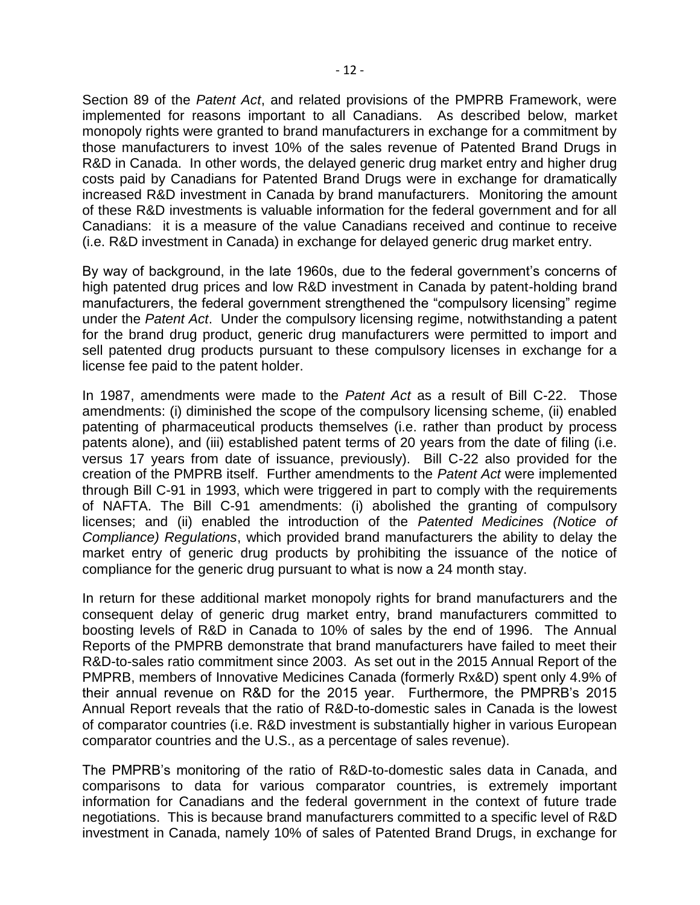Section 89 of the *Patent Act*, and related provisions of the PMPRB Framework, were implemented for reasons important to all Canadians. As described below, market monopoly rights were granted to brand manufacturers in exchange for a commitment by those manufacturers to invest 10% of the sales revenue of Patented Brand Drugs in R&D in Canada. In other words, the delayed generic drug market entry and higher drug costs paid by Canadians for Patented Brand Drugs were in exchange for dramatically increased R&D investment in Canada by brand manufacturers. Monitoring the amount of these R&D investments is valuable information for the federal government and for all Canadians: it is a measure of the value Canadians received and continue to receive (i.e. R&D investment in Canada) in exchange for delayed generic drug market entry.

By way of background, in the late 1960s, due to the federal government's concerns of high patented drug prices and low R&D investment in Canada by patent-holding brand manufacturers, the federal government strengthened the "compulsory licensing" regime under the *Patent Act*. Under the compulsory licensing regime, notwithstanding a patent for the brand drug product, generic drug manufacturers were permitted to import and sell patented drug products pursuant to these compulsory licenses in exchange for a license fee paid to the patent holder.

In 1987, amendments were made to the *Patent Act* as a result of Bill C-22. Those amendments: (i) diminished the scope of the compulsory licensing scheme, (ii) enabled patenting of pharmaceutical products themselves (i.e. rather than product by process patents alone), and (iii) established patent terms of 20 years from the date of filing (i.e. versus 17 years from date of issuance, previously). Bill C-22 also provided for the creation of the PMPRB itself. Further amendments to the *Patent Act* were implemented through Bill C-91 in 1993, which were triggered in part to comply with the requirements of NAFTA. The Bill C-91 amendments: (i) abolished the granting of compulsory licenses; and (ii) enabled the introduction of the *Patented Medicines (Notice of Compliance) Regulations*, which provided brand manufacturers the ability to delay the market entry of generic drug products by prohibiting the issuance of the notice of compliance for the generic drug pursuant to what is now a 24 month stay.

In return for these additional market monopoly rights for brand manufacturers and the consequent delay of generic drug market entry, brand manufacturers committed to boosting levels of R&D in Canada to 10% of sales by the end of 1996. The Annual Reports of the PMPRB demonstrate that brand manufacturers have failed to meet their R&D-to-sales ratio commitment since 2003. As set out in the 2015 Annual Report of the PMPRB, members of Innovative Medicines Canada (formerly Rx&D) spent only 4.9% of their annual revenue on R&D for the 2015 year. Furthermore, the PMPRB's 2015 Annual Report reveals that the ratio of R&D-to-domestic sales in Canada is the lowest of comparator countries (i.e. R&D investment is substantially higher in various European comparator countries and the U.S., as a percentage of sales revenue).

The PMPRB's monitoring of the ratio of R&D-to-domestic sales data in Canada, and comparisons to data for various comparator countries, is extremely important information for Canadians and the federal government in the context of future trade negotiations. This is because brand manufacturers committed to a specific level of R&D investment in Canada, namely 10% of sales of Patented Brand Drugs, in exchange for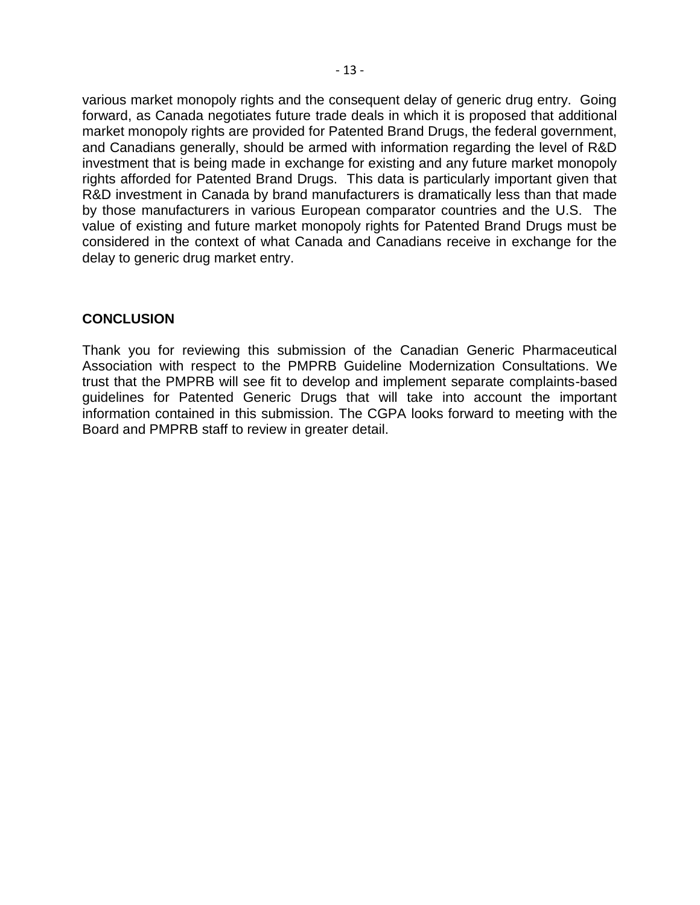various market monopoly rights and the consequent delay of generic drug entry. Going forward, as Canada negotiates future trade deals in which it is proposed that additional market monopoly rights are provided for Patented Brand Drugs, the federal government, and Canadians generally, should be armed with information regarding the level of R&D investment that is being made in exchange for existing and any future market monopoly rights afforded for Patented Brand Drugs. This data is particularly important given that R&D investment in Canada by brand manufacturers is dramatically less than that made by those manufacturers in various European comparator countries and the U.S. The value of existing and future market monopoly rights for Patented Brand Drugs must be considered in the context of what Canada and Canadians receive in exchange for the delay to generic drug market entry.

## **CONCLUSION**

Thank you for reviewing this submission of the Canadian Generic Pharmaceutical Association with respect to the PMPRB Guideline Modernization Consultations. We trust that the PMPRB will see fit to develop and implement separate complaints-based guidelines for Patented Generic Drugs that will take into account the important information contained in this submission. The CGPA looks forward to meeting with the Board and PMPRB staff to review in greater detail.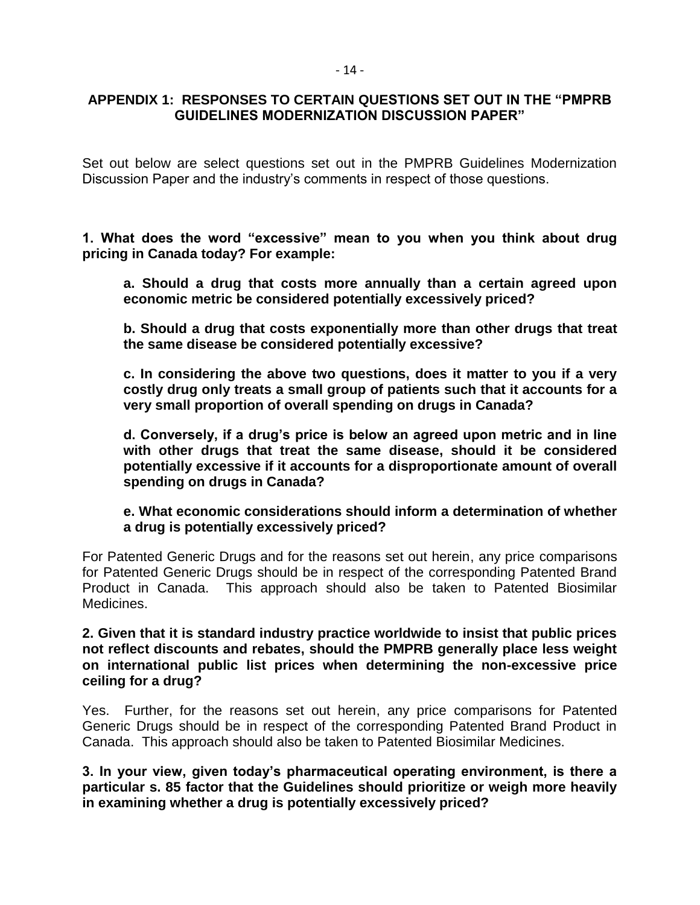## **APPENDIX 1: RESPONSES TO CERTAIN QUESTIONS SET OUT IN THE "PMPRB GUIDELINES MODERNIZATION DISCUSSION PAPER"**

Set out below are select questions set out in the PMPRB Guidelines Modernization Discussion Paper and the industry's comments in respect of those questions.

**1. What does the word "excessive" mean to you when you think about drug pricing in Canada today? For example:**

**a. Should a drug that costs more annually than a certain agreed upon economic metric be considered potentially excessively priced?** 

**b. Should a drug that costs exponentially more than other drugs that treat the same disease be considered potentially excessive?** 

**c. In considering the above two questions, does it matter to you if a very costly drug only treats a small group of patients such that it accounts for a very small proportion of overall spending on drugs in Canada?** 

**d. Conversely, if a drug's price is below an agreed upon metric and in line with other drugs that treat the same disease, should it be considered potentially excessive if it accounts for a disproportionate amount of overall spending on drugs in Canada?** 

**e. What economic considerations should inform a determination of whether a drug is potentially excessively priced?**

For Patented Generic Drugs and for the reasons set out herein, any price comparisons for Patented Generic Drugs should be in respect of the corresponding Patented Brand Product in Canada. This approach should also be taken to Patented Biosimilar Medicines.

**2. Given that it is standard industry practice worldwide to insist that public prices not reflect discounts and rebates, should the PMPRB generally place less weight on international public list prices when determining the non-excessive price ceiling for a drug?**

Yes. Further, for the reasons set out herein, any price comparisons for Patented Generic Drugs should be in respect of the corresponding Patented Brand Product in Canada. This approach should also be taken to Patented Biosimilar Medicines.

**3. In your view, given today's pharmaceutical operating environment, is there a particular s. 85 factor that the Guidelines should prioritize or weigh more heavily in examining whether a drug is potentially excessively priced?**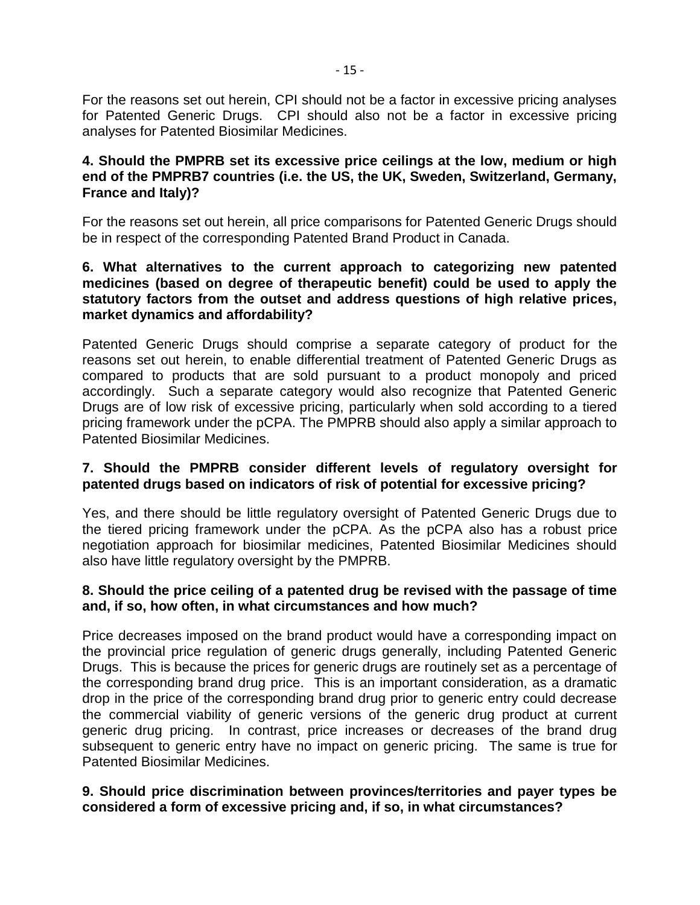For the reasons set out herein, CPI should not be a factor in excessive pricing analyses for Patented Generic Drugs. CPI should also not be a factor in excessive pricing analyses for Patented Biosimilar Medicines.

## **4. Should the PMPRB set its excessive price ceilings at the low, medium or high end of the PMPRB7 countries (i.e. the US, the UK, Sweden, Switzerland, Germany, France and Italy)?**

For the reasons set out herein, all price comparisons for Patented Generic Drugs should be in respect of the corresponding Patented Brand Product in Canada.

## **6. What alternatives to the current approach to categorizing new patented medicines (based on degree of therapeutic benefit) could be used to apply the statutory factors from the outset and address questions of high relative prices, market dynamics and affordability?**

Patented Generic Drugs should comprise a separate category of product for the reasons set out herein, to enable differential treatment of Patented Generic Drugs as compared to products that are sold pursuant to a product monopoly and priced accordingly. Such a separate category would also recognize that Patented Generic Drugs are of low risk of excessive pricing, particularly when sold according to a tiered pricing framework under the pCPA. The PMPRB should also apply a similar approach to Patented Biosimilar Medicines.

## **7. Should the PMPRB consider different levels of regulatory oversight for patented drugs based on indicators of risk of potential for excessive pricing?**

Yes, and there should be little regulatory oversight of Patented Generic Drugs due to the tiered pricing framework under the pCPA. As the pCPA also has a robust price negotiation approach for biosimilar medicines, Patented Biosimilar Medicines should also have little regulatory oversight by the PMPRB.

## **8. Should the price ceiling of a patented drug be revised with the passage of time and, if so, how often, in what circumstances and how much?**

Price decreases imposed on the brand product would have a corresponding impact on the provincial price regulation of generic drugs generally, including Patented Generic Drugs. This is because the prices for generic drugs are routinely set as a percentage of the corresponding brand drug price. This is an important consideration, as a dramatic drop in the price of the corresponding brand drug prior to generic entry could decrease the commercial viability of generic versions of the generic drug product at current generic drug pricing. In contrast, price increases or decreases of the brand drug subsequent to generic entry have no impact on generic pricing. The same is true for Patented Biosimilar Medicines.

## **9. Should price discrimination between provinces/territories and payer types be considered a form of excessive pricing and, if so, in what circumstances?**